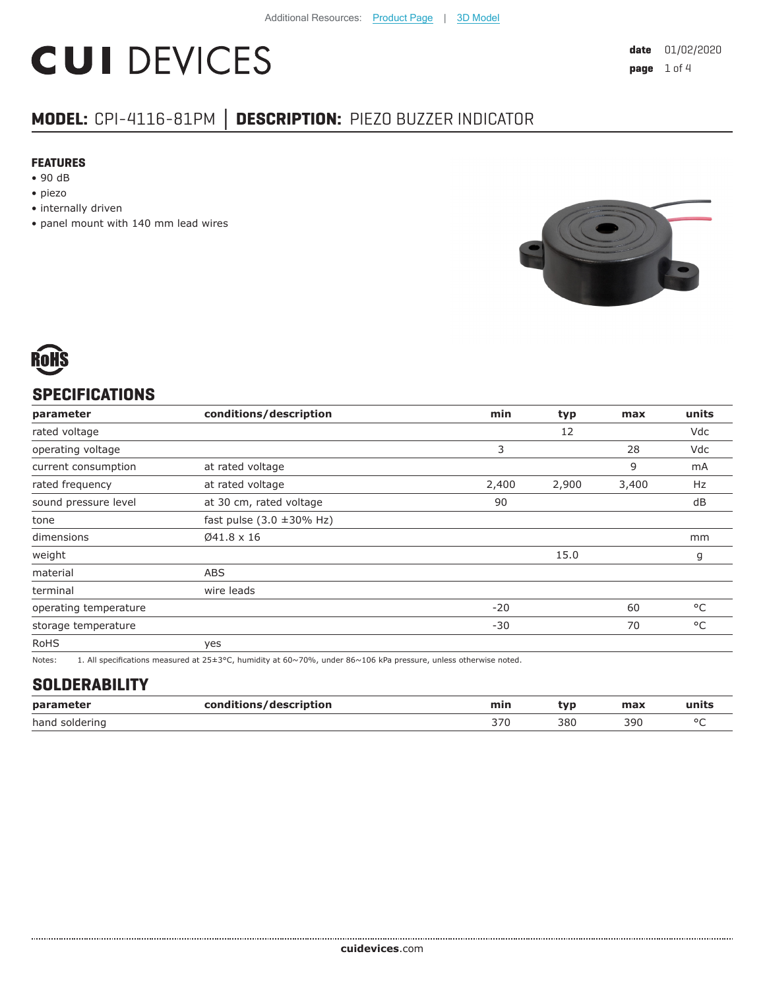# **CUI DEVICES**

## **MODEL:** CPI-4116-81PM **│ DESCRIPTION:** PIEZO BUZZER INDICATOR

#### **FEATURES**

- 90 dB
- piezo
- internally driven
- panel mount with 140 mm lead wires





## **SPECIFICATIONS**

| parameter             | conditions/description                 | min   | typ   | max   | units        |
|-----------------------|----------------------------------------|-------|-------|-------|--------------|
| rated voltage         |                                        |       | 12    |       | Vdc          |
| operating voltage     |                                        | 3     |       | 28    | Vdc          |
| current consumption   | at rated voltage                       |       |       | 9     | mA           |
| rated frequency       | at rated voltage                       | 2,400 | 2,900 | 3,400 | Hz           |
| sound pressure level  | at 30 cm, rated voltage                | 90    |       |       | dB           |
| tone                  | fast pulse $(3.0 \pm 30\% \text{ Hz})$ |       |       |       |              |
| dimensions            | Ø41.8 x 16                             |       |       |       | mm           |
| weight                |                                        |       | 15.0  |       | g            |
| material              | <b>ABS</b>                             |       |       |       |              |
| terminal              | wire leads                             |       |       |       |              |
| operating temperature |                                        | $-20$ |       | 60    | °C           |
| storage temperature   |                                        | $-30$ |       | 70    | $^{\circ}$ C |
| <b>RoHS</b>           | yes                                    |       |       |       |              |
|                       | .                                      |       |       |       |              |

Notes: 1. All specifications measured at 25±3°C, humidity at 60~70%, under 86~106 kPa pressure, unless otherwise noted.

#### **SOLDERABILITY**

| parameter         | :/description<br>rnn<br>___ | min | vr  | max | units   |
|-------------------|-----------------------------|-----|-----|-----|---------|
| hand<br>soldering |                             | 370 | 380 | 390 | $\circ$ |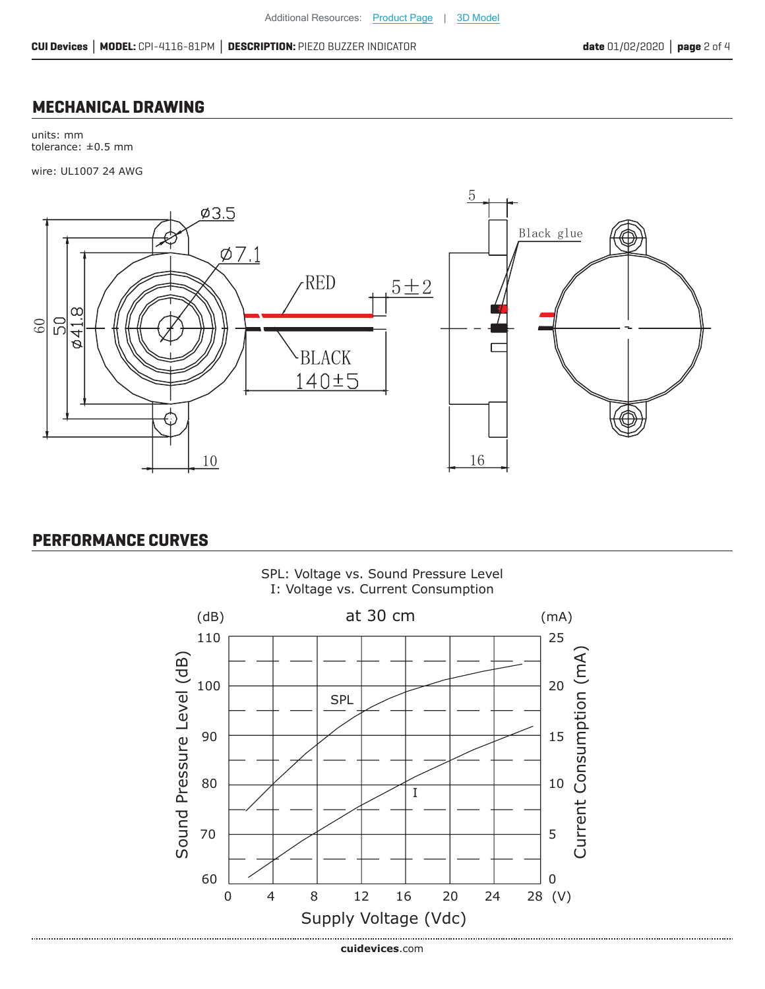#### **MECHANICAL DRAWING**

units: mm tolerance: ±0.5 mm

wire: UL1007 24 AWG



## **PERFORMANCE CURVES**

..................................



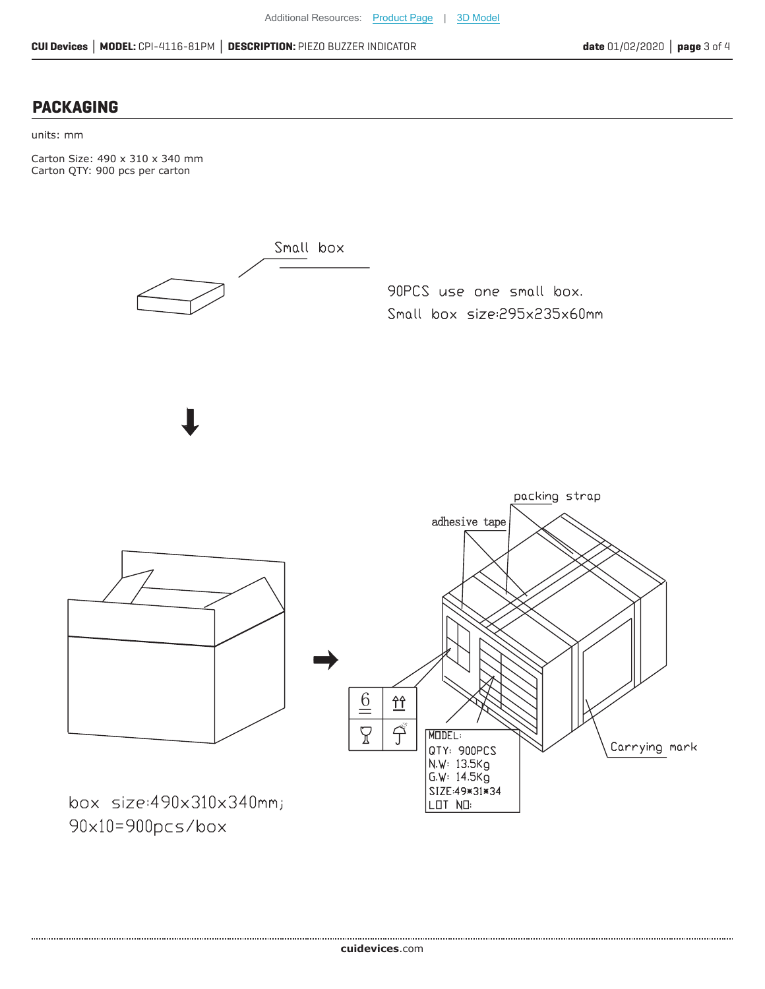#### **PACKAGING**

#### units: mm

Carton Size: 490 x 310 x 340 mm Carton QTY: 900 pcs per carton



90x10=900pcs/box